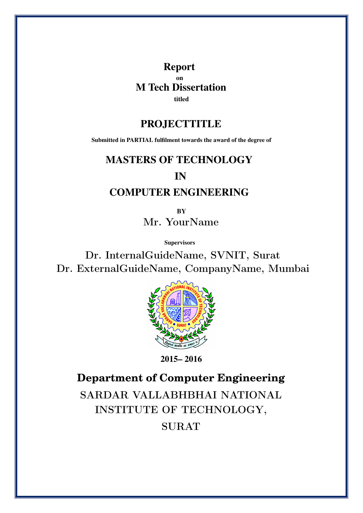Report on M Tech Dissertation titled

#### PROJECTTITLE

Submitted in PARTIAL fulfilment towards the award of the degree of

#### MASTERS OF TECHNOLOGY

#### IN

### COMPUTER ENGINEERING

**RV** Mr. YourName

**Supervisors** 

Dr. InternalGuideName, SVNIT, Surat Dr. ExternalGuideName, CompanyName, Mumbai



2015– 2016

**Department of Computer Engineering** SARDAR VALLABHBHAI NATIONAL INSTITUTE OF TECHNOLOGY, SURAT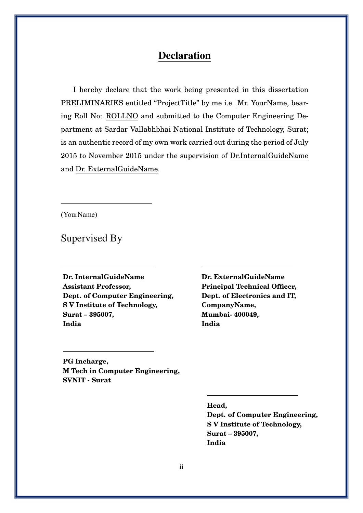### Declaration

I hereby declare that the work being presented in this dissertation PRELIMINARIES entitled "ProjectTitle" by me i.e. Mr. YourName, bearing Roll No: ROLLNO and submitted to the Computer Engineering Department at Sardar Vallabhbhai National Institute of Technology, Surat; is an authentic record of my own work carried out during the period of July 2015 to November 2015 under the supervision of Dr.InternalGuideName and Dr. ExternalGuideName.

(YourName)

Supervised By

**Dr. InternalGuideName Assistant Professor, Dept. of Computer Engineering, S V Institute of Technology, Surat – 395007, India**

**Dr. ExternalGuideName Principal Technical Officer, Dept. of Electronics and IT, CompanyName, Mumbai- 400049, India**

**PG Incharge, M Tech in Computer Engineering, SVNIT - Surat**

**Head,**

**Dept. of Computer Engineering, S V Institute of Technology, Surat – 395007, India**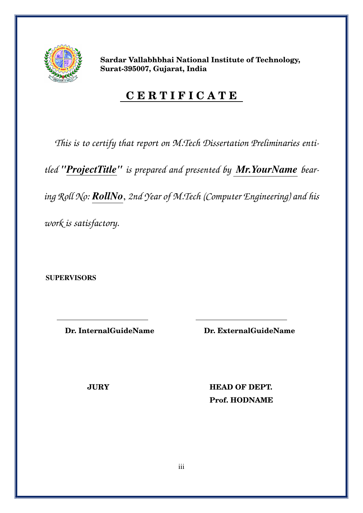

**Sardar Vallabhbhai National Institute of Technology, Surat-395007, Gujarat, India**

### **C E R T I F I C A T E**

*This is to certify that report on M.Tech Dissertation Preliminaries enti-*

*tled "ProjectTitle" is prepared and presented by Mr.YourName bear-*

*ing Roll No: RollNo*, *2nd Year of M.Tech (Computer Engineering) and his*

*work is satisfactory.*

**SUPERVISORS** 

**Dr. InternalGuideName Dr. ExternalGuideName**

**JURY HEAD OF DEPT. Prof. HODNAME**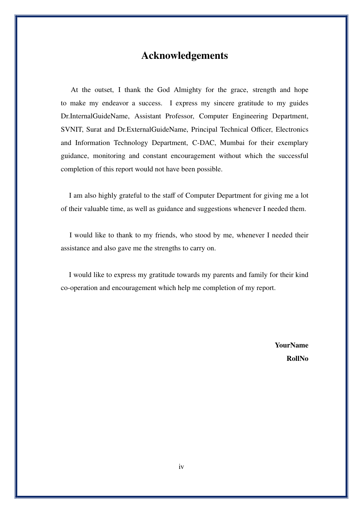#### Acknowledgements

At the outset, I thank the God Almighty for the grace, strength and hope to make my endeavor a success. I express my sincere gratitude to my guides Dr.InternalGuideName, Assistant Professor, Computer Engineering Department, SVNIT, Surat and Dr.ExternalGuideName, Principal Technical Officer, Electronics and Information Technology Department, C-DAC, Mumbai for their exemplary guidance, monitoring and constant encouragement without which the successful completion of this report would not have been possible.

I am also highly grateful to the staff of Computer Department for giving me a lot of their valuable time, as well as guidance and suggestions whenever I needed them.

I would like to thank to my friends, who stood by me, whenever I needed their assistance and also gave me the strengths to carry on.

I would like to express my gratitude towards my parents and family for their kind co-operation and encouragement which help me completion of my report.

> YourName RollNo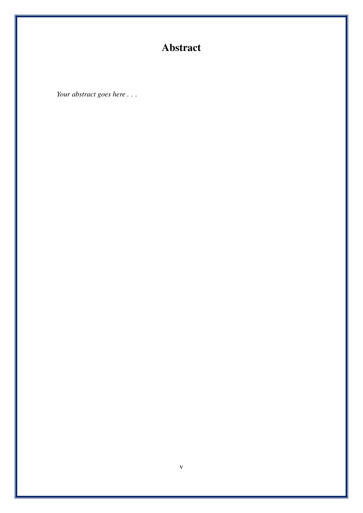### Abstract

Your abstract goes here . . .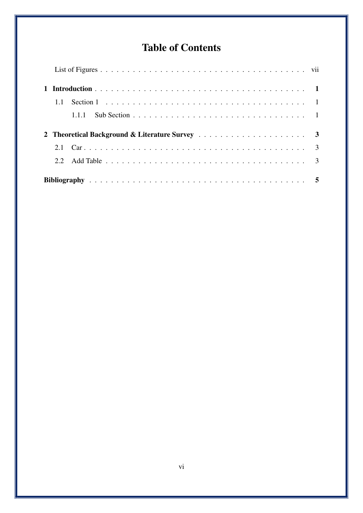### <span id="page-5-0"></span>Table of Contents

| 1.1  |       |  |
|------|-------|--|
|      | 1.1.1 |  |
|      |       |  |
|      |       |  |
|      |       |  |
| 2.2. |       |  |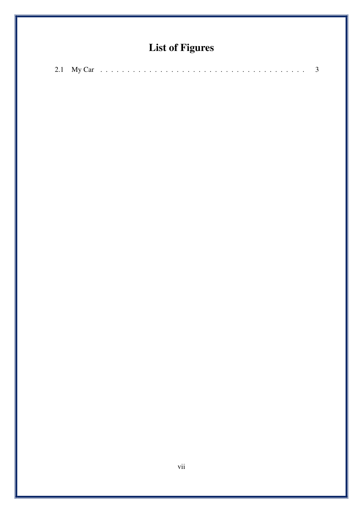### List of Figures

|--|--|--|--|--|--|--|--|--|--|--|--|--|--|--|--|--|--|--|--|--|--|--|--|--|--|--|--|--|--|--|--|--|--|--|--|--|--|--|--|--|--|--|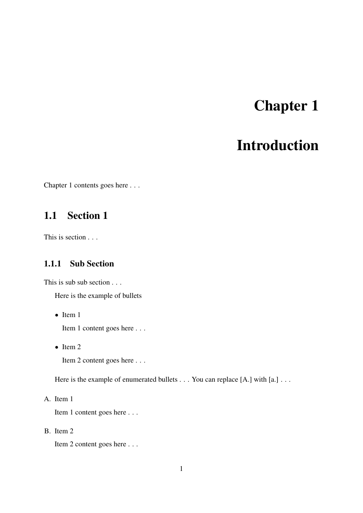# Chapter 1

### Introduction

<span id="page-7-0"></span>Chapter 1 contents goes here . . .

### <span id="page-7-1"></span>1.1 Section 1

This is section . . .

#### <span id="page-7-2"></span>1.1.1 Sub Section

This is sub sub section . . .

Here is the example of bullets

• Item 1

Item 1 content goes here . . .

• Item 2

Item 2 content goes here . . .

Here is the example of enumerated bullets . . . You can replace [A.] with [a.] . . .

A. Item 1

Item 1 content goes here . . .

B. Item 2

Item 2 content goes here . . .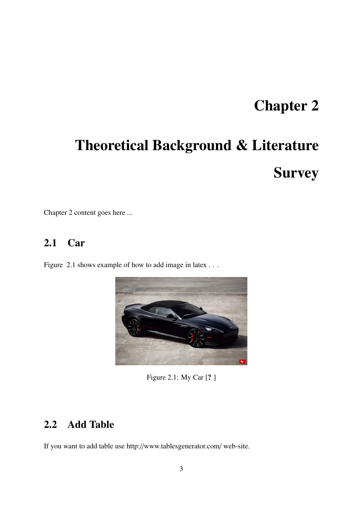## Chapter 2

# <span id="page-9-0"></span>Theoretical Background & Literature **Survey**

Chapter 2 content goes here ...

### <span id="page-9-1"></span>2.1 Car

Figure [2.1](#page-9-3) shows example of how to add image in latex . . .



Figure 2.1: My Car [? ]

### <span id="page-9-3"></span><span id="page-9-2"></span>2.2 Add Table

If you want to add table use http://www.tablesgenerator.com/ web-site.